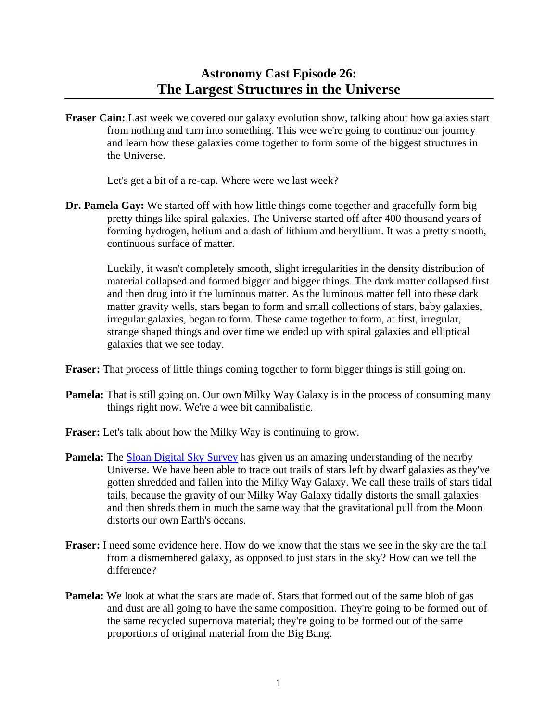**Fraser Cain:** Last week we covered our galaxy evolution show, talking about how galaxies start from nothing and turn into something. This wee we're going to continue our journey and learn how these galaxies come together to form some of the biggest structures in the Universe.

Let's get a bit of a re-cap. Where were we last week?

**Dr. Pamela Gay:** We started off with how little things come together and gracefully form big pretty things like spiral galaxies. The Universe started off after 400 thousand years of forming hydrogen, helium and a dash of lithium and beryllium. It was a pretty smooth, continuous surface of matter.

 Luckily, it wasn't completely smooth, slight irregularities in the density distribution of material collapsed and formed bigger and bigger things. The dark matter collapsed first and then drug into it the luminous matter. As the luminous matter fell into these dark matter gravity wells, stars began to form and small collections of stars, baby galaxies, irregular galaxies, began to form. These came together to form, at first, irregular, strange shaped things and over time we ended up with spiral galaxies and elliptical galaxies that we see today.

- **Fraser:** That process of little things coming together to form bigger things is still going on.
- **Pamela:** That is still going on. Our own Milky Way Galaxy is in the process of consuming many things right now. We're a wee bit cannibalistic.
- **Fraser:** Let's talk about how the Milky Way is continuing to grow.
- **Pamela:** The [Sloan Digital Sky Survey](http://www.sdss.org/) has given us an amazing understanding of the nearby Universe. We have been able to trace out trails of stars left by dwarf galaxies as they've gotten shredded and fallen into the Milky Way Galaxy. We call these trails of stars tidal tails, because the gravity of our Milky Way Galaxy tidally distorts the small galaxies and then shreds them in much the same way that the gravitational pull from the Moon distorts our own Earth's oceans.
- **Fraser:** I need some evidence here. How do we know that the stars we see in the sky are the tail from a dismembered galaxy, as opposed to just stars in the sky? How can we tell the difference?
- **Pamela:** We look at what the stars are made of. Stars that formed out of the same blob of gas and dust are all going to have the same composition. They're going to be formed out of the same recycled supernova material; they're going to be formed out of the same proportions of original material from the Big Bang.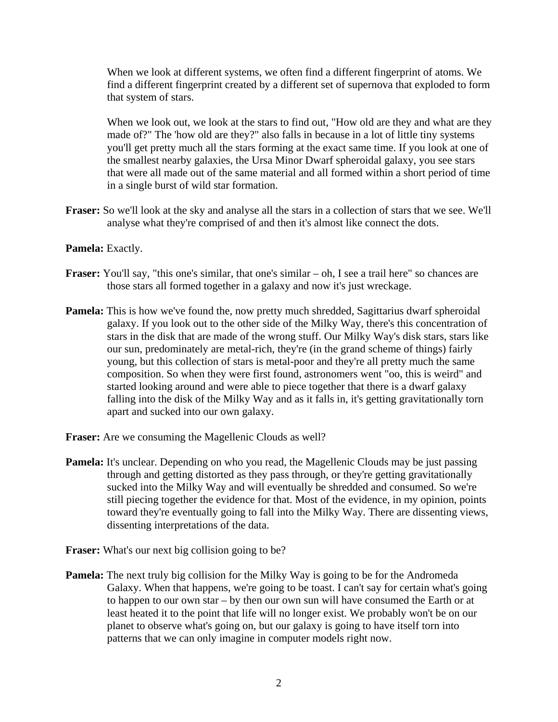When we look at different systems, we often find a different fingerprint of atoms. We find a different fingerprint created by a different set of supernova that exploded to form that system of stars.

 When we look out, we look at the stars to find out, "How old are they and what are they made of?" The 'how old are they?" also falls in because in a lot of little tiny systems you'll get pretty much all the stars forming at the exact same time. If you look at one of the smallest nearby galaxies, the Ursa Minor Dwarf spheroidal galaxy, you see stars that were all made out of the same material and all formed within a short period of time in a single burst of wild star formation.

- **Fraser:** So we'll look at the sky and analyse all the stars in a collection of stars that we see. We'll analyse what they're comprised of and then it's almost like connect the dots.
- **Pamela:** Exactly.
- **Fraser:** You'll say, "this one's similar, that one's similar oh, I see a trail here" so chances are those stars all formed together in a galaxy and now it's just wreckage.
- **Pamela:** This is how we've found the, now pretty much shredded, Sagittarius dwarf spheroidal galaxy. If you look out to the other side of the Milky Way, there's this concentration of stars in the disk that are made of the wrong stuff. Our Milky Way's disk stars, stars like our sun, predominately are metal-rich, they're (in the grand scheme of things) fairly young, but this collection of stars is metal-poor and they're all pretty much the same composition. So when they were first found, astronomers went "oo, this is weird" and started looking around and were able to piece together that there is a dwarf galaxy falling into the disk of the Milky Way and as it falls in, it's getting gravitationally torn apart and sucked into our own galaxy.
- **Fraser:** Are we consuming the Magellenic Clouds as well?
- **Pamela:** It's unclear. Depending on who you read, the Magellenic Clouds may be just passing through and getting distorted as they pass through, or they're getting gravitationally sucked into the Milky Way and will eventually be shredded and consumed. So we're still piecing together the evidence for that. Most of the evidence, in my opinion, points toward they're eventually going to fall into the Milky Way. There are dissenting views, dissenting interpretations of the data.
- **Fraser:** What's our next big collision going to be?
- **Pamela:** The next truly big collision for the Milky Way is going to be for the Andromeda Galaxy. When that happens, we're going to be toast. I can't say for certain what's going to happen to our own star – by then our own sun will have consumed the Earth or at least heated it to the point that life will no longer exist. We probably won't be on our planet to observe what's going on, but our galaxy is going to have itself torn into patterns that we can only imagine in computer models right now.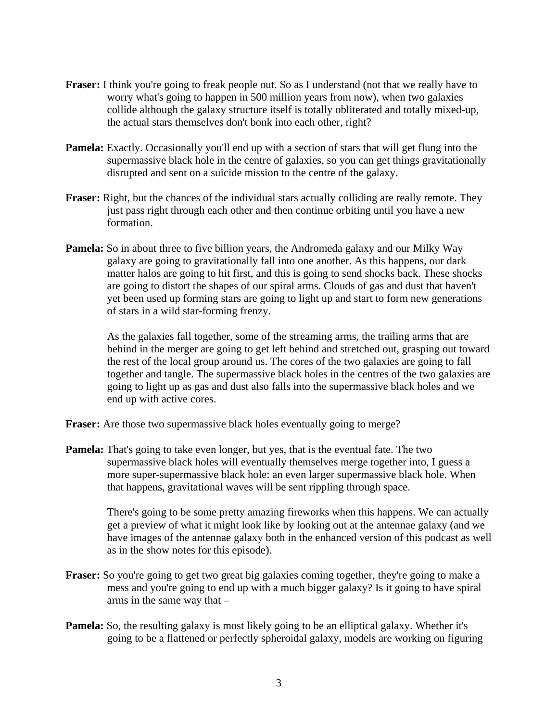- **Fraser:** I think you're going to freak people out. So as I understand (not that we really have to worry what's going to happen in 500 million years from now), when two galaxies collide although the galaxy structure itself is totally obliterated and totally mixed-up, the actual stars themselves don't bonk into each other, right?
- **Pamela:** Exactly. Occasionally you'll end up with a section of stars that will get flung into the supermassive black hole in the centre of galaxies, so you can get things gravitationally disrupted and sent on a suicide mission to the centre of the galaxy.
- **Fraser:** Right, but the chances of the individual stars actually colliding are really remote. They just pass right through each other and then continue orbiting until you have a new formation.
- **Pamela:** So in about three to five billion years, the Andromeda galaxy and our Milky Way galaxy are going to gravitationally fall into one another. As this happens, our dark matter halos are going to hit first, and this is going to send shocks back. These shocks are going to distort the shapes of our spiral arms. Clouds of gas and dust that haven't yet been used up forming stars are going to light up and start to form new generations of stars in a wild star-forming frenzy.

 As the galaxies fall together, some of the streaming arms, the trailing arms that are behind in the merger are going to get left behind and stretched out, grasping out toward the rest of the local group around us. The cores of the two galaxies are going to fall together and tangle. The supermassive black holes in the centres of the two galaxies are going to light up as gas and dust also falls into the supermassive black holes and we end up with active cores.

**Fraser:** Are those two supermassive black holes eventually going to merge?

**Pamela:** That's going to take even longer, but yes, that is the eventual fate. The two supermassive black holes will eventually themselves merge together into, I guess a more super-supermassive black hole: an even larger supermassive black hole. When that happens, gravitational waves will be sent rippling through space.

 There's going to be some pretty amazing fireworks when this happens. We can actually get a preview of what it might look like by looking out at the antennae galaxy (and we have images of the antennae galaxy both in the enhanced version of this podcast as well as in the show notes for this episode).

- **Fraser:** So you're going to get two great big galaxies coming together, they're going to make a mess and you're going to end up with a much bigger galaxy? Is it going to have spiral arms in the same way that –
- **Pamela:** So, the resulting galaxy is most likely going to be an elliptical galaxy. Whether it's going to be a flattened or perfectly spheroidal galaxy, models are working on figuring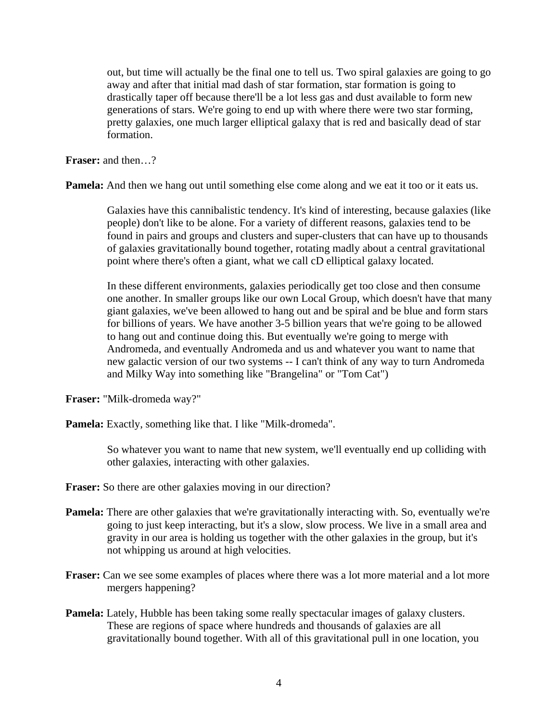out, but time will actually be the final one to tell us. Two spiral galaxies are going to go away and after that initial mad dash of star formation, star formation is going to drastically taper off because there'll be a lot less gas and dust available to form new generations of stars. We're going to end up with where there were two star forming, pretty galaxies, one much larger elliptical galaxy that is red and basically dead of star formation.

**Fraser:** and then…?

**Pamela:** And then we hang out until something else come along and we eat it too or it eats us.

 Galaxies have this cannibalistic tendency. It's kind of interesting, because galaxies (like people) don't like to be alone. For a variety of different reasons, galaxies tend to be found in pairs and groups and clusters and super-clusters that can have up to thousands of galaxies gravitationally bound together, rotating madly about a central gravitational point where there's often a giant, what we call cD elliptical galaxy located.

 In these different environments, galaxies periodically get too close and then consume one another. In smaller groups like our own Local Group, which doesn't have that many giant galaxies, we've been allowed to hang out and be spiral and be blue and form stars for billions of years. We have another 3-5 billion years that we're going to be allowed to hang out and continue doing this. But eventually we're going to merge with Andromeda, and eventually Andromeda and us and whatever you want to name that new galactic version of our two systems -- I can't think of any way to turn Andromeda and Milky Way into something like "Brangelina" or "Tom Cat")

**Fraser:** "Milk-dromeda way?"

Pamela: Exactly, something like that. I like "Milk-dromeda".

 So whatever you want to name that new system, we'll eventually end up colliding with other galaxies, interacting with other galaxies.

**Fraser:** So there are other galaxies moving in our direction?

- **Pamela:** There are other galaxies that we're gravitationally interacting with. So, eventually we're going to just keep interacting, but it's a slow, slow process. We live in a small area and gravity in our area is holding us together with the other galaxies in the group, but it's not whipping us around at high velocities.
- **Fraser:** Can we see some examples of places where there was a lot more material and a lot more mergers happening?
- **Pamela:** Lately, Hubble has been taking some really spectacular images of galaxy clusters. These are regions of space where hundreds and thousands of galaxies are all gravitationally bound together. With all of this gravitational pull in one location, you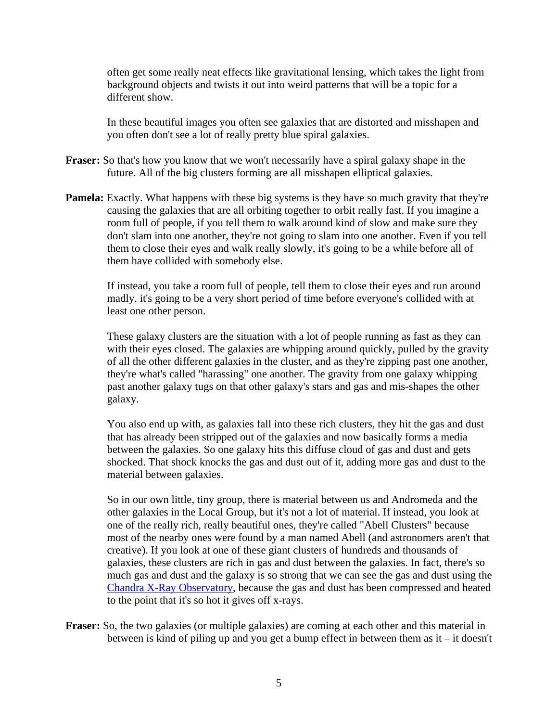often get some really neat effects like gravitational lensing, which takes the light from background objects and twists it out into weird patterns that will be a topic for a different show.

 In these beautiful images you often see galaxies that are distorted and misshapen and you often don't see a lot of really pretty blue spiral galaxies.

- **Fraser:** So that's how you know that we won't necessarily have a spiral galaxy shape in the future. All of the big clusters forming are all misshapen elliptical galaxies.
- **Pamela:** Exactly. What happens with these big systems is they have so much gravity that they're causing the galaxies that are all orbiting together to orbit really fast. If you imagine a room full of people, if you tell them to walk around kind of slow and make sure they don't slam into one another, they're not going to slam into one another. Even if you tell them to close their eyes and walk really slowly, it's going to be a while before all of them have collided with somebody else.

 If instead, you take a room full of people, tell them to close their eyes and run around madly, it's going to be a very short period of time before everyone's collided with at least one other person.

 These galaxy clusters are the situation with a lot of people running as fast as they can with their eyes closed. The galaxies are whipping around quickly, pulled by the gravity of all the other different galaxies in the cluster, and as they're zipping past one another, they're what's called "harassing" one another. The gravity from one galaxy whipping past another galaxy tugs on that other galaxy's stars and gas and mis-shapes the other galaxy.

 You also end up with, as galaxies fall into these rich clusters, they hit the gas and dust that has already been stripped out of the galaxies and now basically forms a media between the galaxies. So one galaxy hits this diffuse cloud of gas and dust and gets shocked. That shock knocks the gas and dust out of it, adding more gas and dust to the material between galaxies.

 So in our own little, tiny group, there is material between us and Andromeda and the other galaxies in the Local Group, but it's not a lot of material. If instead, you look at one of the really rich, really beautiful ones, they're called "Abell Clusters" because most of the nearby ones were found by a man named Abell (and astronomers aren't that creative). If you look at one of these giant clusters of hundreds and thousands of galaxies, these clusters are rich in gas and dust between the galaxies. In fact, there's so much gas and dust and the galaxy is so strong that we can see the gas and dust using the [Chandra X-Ray Observatory,](http://chandra.harvard.edu/) because the gas and dust has been compressed and heated to the point that it's so hot it gives off x-rays.

**Fraser:** So, the two galaxies (or multiple galaxies) are coming at each other and this material in between is kind of piling up and you get a bump effect in between them as it – it doesn't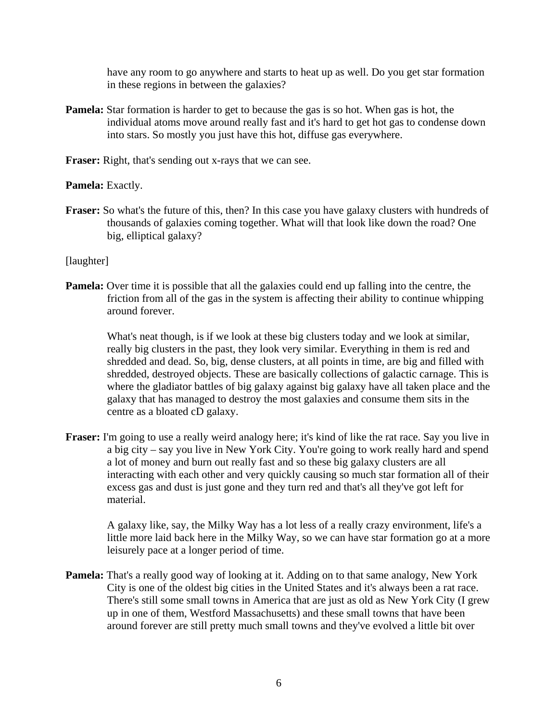have any room to go anywhere and starts to heat up as well. Do you get star formation in these regions in between the galaxies?

**Pamela:** Star formation is harder to get to because the gas is so hot. When gas is hot, the individual atoms move around really fast and it's hard to get hot gas to condense down into stars. So mostly you just have this hot, diffuse gas everywhere.

**Fraser:** Right, that's sending out x-rays that we can see.

## **Pamela:** Exactly.

Fraser: So what's the future of this, then? In this case you have galaxy clusters with hundreds of thousands of galaxies coming together. What will that look like down the road? One big, elliptical galaxy?

## [laughter]

**Pamela:** Over time it is possible that all the galaxies could end up falling into the centre, the friction from all of the gas in the system is affecting their ability to continue whipping around forever.

 What's neat though, is if we look at these big clusters today and we look at similar, really big clusters in the past, they look very similar. Everything in them is red and shredded and dead. So, big, dense clusters, at all points in time, are big and filled with shredded, destroyed objects. These are basically collections of galactic carnage. This is where the gladiator battles of big galaxy against big galaxy have all taken place and the galaxy that has managed to destroy the most galaxies and consume them sits in the centre as a bloated cD galaxy.

**Fraser:** I'm going to use a really weird analogy here; it's kind of like the rat race. Say you live in a big city – say you live in New York City. You're going to work really hard and spend a lot of money and burn out really fast and so these big galaxy clusters are all interacting with each other and very quickly causing so much star formation all of their excess gas and dust is just gone and they turn red and that's all they've got left for material.

 A galaxy like, say, the Milky Way has a lot less of a really crazy environment, life's a little more laid back here in the Milky Way, so we can have star formation go at a more leisurely pace at a longer period of time.

**Pamela:** That's a really good way of looking at it. Adding on to that same analogy, New York City is one of the oldest big cities in the United States and it's always been a rat race. There's still some small towns in America that are just as old as New York City (I grew up in one of them, Westford Massachusetts) and these small towns that have been around forever are still pretty much small towns and they've evolved a little bit over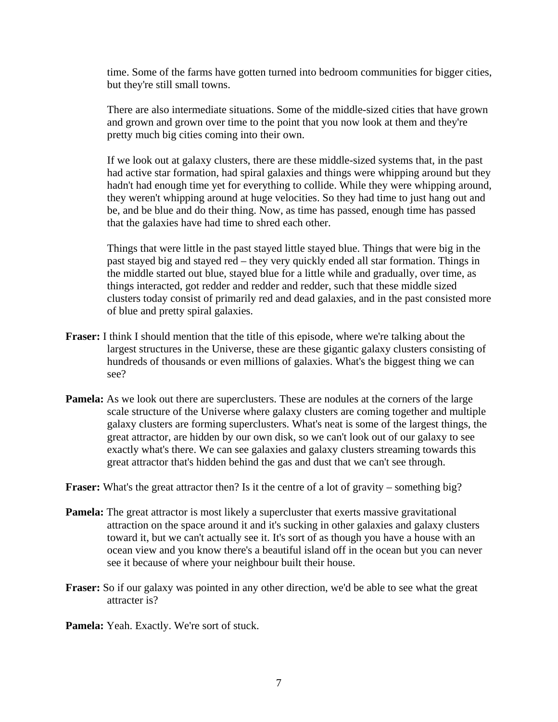time. Some of the farms have gotten turned into bedroom communities for bigger cities, but they're still small towns.

 There are also intermediate situations. Some of the middle-sized cities that have grown and grown and grown over time to the point that you now look at them and they're pretty much big cities coming into their own.

 If we look out at galaxy clusters, there are these middle-sized systems that, in the past had active star formation, had spiral galaxies and things were whipping around but they hadn't had enough time yet for everything to collide. While they were whipping around, they weren't whipping around at huge velocities. So they had time to just hang out and be, and be blue and do their thing. Now, as time has passed, enough time has passed that the galaxies have had time to shred each other.

 Things that were little in the past stayed little stayed blue. Things that were big in the past stayed big and stayed red – they very quickly ended all star formation. Things in the middle started out blue, stayed blue for a little while and gradually, over time, as things interacted, got redder and redder and redder, such that these middle sized clusters today consist of primarily red and dead galaxies, and in the past consisted more of blue and pretty spiral galaxies.

- **Fraser:** I think I should mention that the title of this episode, where we're talking about the largest structures in the Universe, these are these gigantic galaxy clusters consisting of hundreds of thousands or even millions of galaxies. What's the biggest thing we can see?
- **Pamela:** As we look out there are superclusters. These are nodules at the corners of the large scale structure of the Universe where galaxy clusters are coming together and multiple galaxy clusters are forming superclusters. What's neat is some of the largest things, the great attractor, are hidden by our own disk, so we can't look out of our galaxy to see exactly what's there. We can see galaxies and galaxy clusters streaming towards this great attractor that's hidden behind the gas and dust that we can't see through.

**Fraser:** What's the great attractor then? Is it the centre of a lot of gravity – something big?

- **Pamela:** The great attractor is most likely a supercluster that exerts massive gravitational attraction on the space around it and it's sucking in other galaxies and galaxy clusters toward it, but we can't actually see it. It's sort of as though you have a house with an ocean view and you know there's a beautiful island off in the ocean but you can never see it because of where your neighbour built their house.
- **Fraser:** So if our galaxy was pointed in any other direction, we'd be able to see what the great attracter is?

**Pamela:** Yeah. Exactly. We're sort of stuck.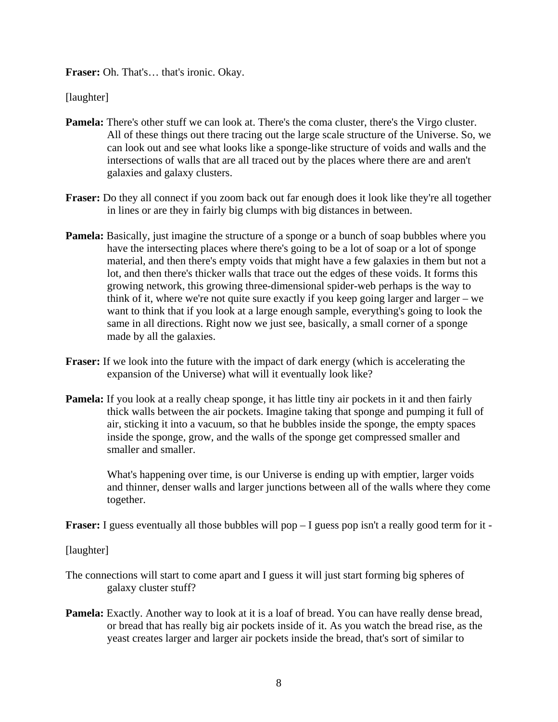**Fraser:** Oh. That's… that's ironic. Okay.

[laughter]

- **Pamela:** There's other stuff we can look at. There's the coma cluster, there's the Virgo cluster. All of these things out there tracing out the large scale structure of the Universe. So, we can look out and see what looks like a sponge-like structure of voids and walls and the intersections of walls that are all traced out by the places where there are and aren't galaxies and galaxy clusters.
- **Fraser:** Do they all connect if you zoom back out far enough does it look like they're all together in lines or are they in fairly big clumps with big distances in between.
- **Pamela:** Basically, just imagine the structure of a sponge or a bunch of soap bubbles where you have the intersecting places where there's going to be a lot of soap or a lot of sponge material, and then there's empty voids that might have a few galaxies in them but not a lot, and then there's thicker walls that trace out the edges of these voids. It forms this growing network, this growing three-dimensional spider-web perhaps is the way to think of it, where we're not quite sure exactly if you keep going larger and larger – we want to think that if you look at a large enough sample, everything's going to look the same in all directions. Right now we just see, basically, a small corner of a sponge made by all the galaxies.
- **Fraser:** If we look into the future with the impact of dark energy (which is accelerating the expansion of the Universe) what will it eventually look like?
- **Pamela:** If you look at a really cheap sponge, it has little tiny air pockets in it and then fairly thick walls between the air pockets. Imagine taking that sponge and pumping it full of air, sticking it into a vacuum, so that he bubbles inside the sponge, the empty spaces inside the sponge, grow, and the walls of the sponge get compressed smaller and smaller and smaller.

 What's happening over time, is our Universe is ending up with emptier, larger voids and thinner, denser walls and larger junctions between all of the walls where they come together.

**Fraser:** I guess eventually all those bubbles will pop – I guess pop isn't a really good term for it -

[laughter]

- The connections will start to come apart and I guess it will just start forming big spheres of galaxy cluster stuff?
- **Pamela:** Exactly. Another way to look at it is a loaf of bread. You can have really dense bread, or bread that has really big air pockets inside of it. As you watch the bread rise, as the yeast creates larger and larger air pockets inside the bread, that's sort of similar to